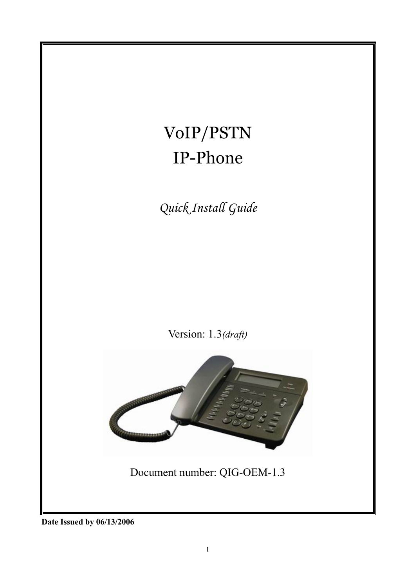

**Date Issued by 06/13/2006**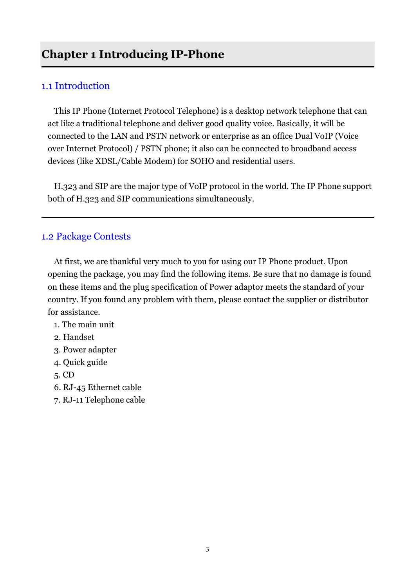### 1.1 Introduction

This IP Phone (Internet Protocol Telephone) is a desktop network telephone that can act like a traditional telephone and deliver good quality voice. Basically, it will be connected to the LAN and PSTN network or enterprise as an office Dual VoIP (Voice over Internet Protocol) / PSTN phone; it also can be connected to broadband access devices (like XDSL/Cable Modem) for SOHO and residential users.

H.323 and SIP are the major type of VoIP protocol in the world. The IP Phone support both of H.323 and SIP communications simultaneously.

### 1.2 Package Contests

At first, we are thankful very much to you for using our IP Phone product. Upon opening the package, you may find the following items. Be sure that no damage is found on these items and the plug specification of Power adaptor meets the standard of your country. If you found any problem with them, please contact the supplier or distributor for assistance.

- 1. The main unit
- 2. Handset
- 3. Power adapter
- 4. Quick guide
- 5. CD
- 6. RJ-45 Ethernet cable
- 7. RJ-11 Telephone cable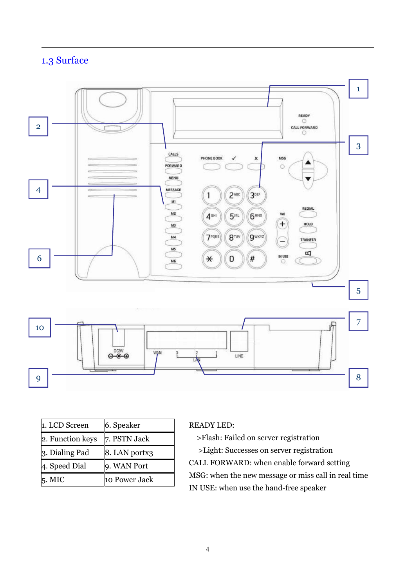# 1.3 Surface



| 1. LCD Screen    | 6. Speaker    |
|------------------|---------------|
| 2. Function keys | 7. PSTN Jack  |
| 3. Dialing Pad   | 8. LAN portx3 |
| 4. Speed Dial    | 9. WAN Port   |
| 5. MIC           | 10 Power Jack |

### READY LED:

>Flash: Failed on server registration >Light: Successes on server registration CALL FORWARD: when enable forward setting MSG: when the new message or miss call in real time IN USE: when use the hand-free speaker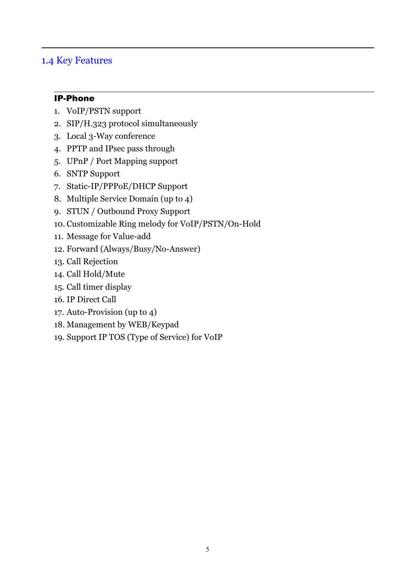### 1.4 Key Features

### IP-Phone

- 1. VoIP/PSTN support
- 2. SIP/H.323 protocol simultaneously
- 3. Local 3-Way conference
- 4. PPTP and IPsec pass through
- 5. UPnP / Port Mapping support
- 6. SNTP Support
- 7. Static-IP/PPPoE/DHCP Support
- 8. Multiple Service Domain (up to 4)
- 9. STUN / Outbound Proxy Support
- 10. Customizable Ring melody for VoIP/PSTN/On-Hold
- 11. Message for Value-add
- 12. Forward (Always/Busy/No-Answer)
- 13. Call Rejection
- 14. Call Hold/Mute
- 15. Call timer display
- 16. IP Direct Call
- 17. Auto-Provision (up to 4)
- 18. Management by WEB/Keypad
- 19. Support IP TOS (Type of Service) for VoIP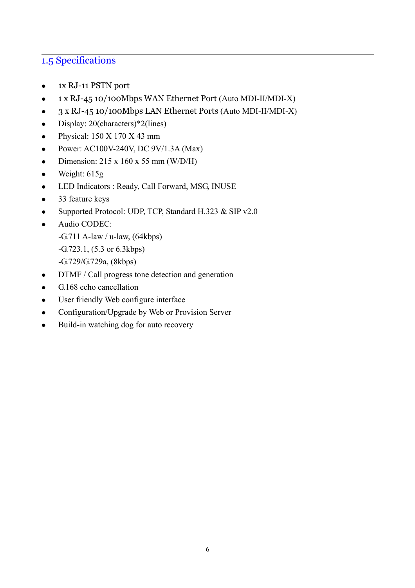## 1.5 Specifications

- <sup>z</sup> 1x RJ-11 PSTN port
- 1 x RJ-45 10/100Mbps WAN Ethernet Port (Auto MDI-II/MDI-X)
- 3 x RJ-45 10/100Mbps LAN Ethernet Ports (Auto MDI-II/MDI-X)
- Display:  $20$ (characters)\*2(lines)
- $\bullet$  Physical: 150 X 170 X 43 mm
- Power: AC100V-240V, DC  $9V/1.3A$  (Max)
- Dimension:  $215 \times 160 \times 55$  mm (W/D/H)
- $\bullet$  Weight: 615g
- LED Indicators : Ready, Call Forward, MSG, INUSE
- $\bullet$  33 feature keys
- Supported Protocol: UDP, TCP, Standard H.323  $&$  SIP v2.0
- Audio CODEC:
	- $-G.711$  A-law / u-law,  $(64kbps)$
	- -G.723.1, (5.3 or 6.3kbps)
	- -G.729/G.729a, (8kbps)
- $\bullet$  DTMF / Call progress tone detection and generation
- $\bullet$  G.168 echo cancellation
- User friendly Web configure interface
- Configuration/Upgrade by Web or Provision Server
- $\bullet$  Build-in watching dog for auto recovery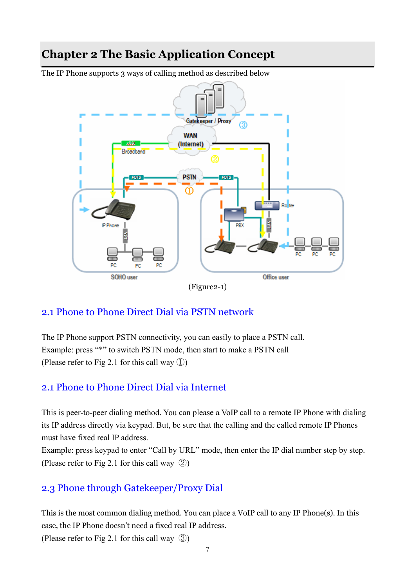# **Chapter 2 The Basic Application Concept**

The IP Phone supports 3 ways of calling method as described below



### 2.1 Phone to Phone Direct Dial via PSTN network

The IP Phone support PSTN connectivity, you can easily to place a PSTN call. Example: press "\*" to switch PSTN mode, then start to make a PSTN call (Please refer to Fig 2.1 for this call way ①)

### 2.1 Phone to Phone Direct Dial via Internet

This is peer-to-peer dialing method. You can please a VoIP call to a remote IP Phone with dialing its IP address directly via keypad. But, be sure that the calling and the called remote IP Phones must have fixed real IP address.

Example: press keypad to enter "Call by URL" mode, then enter the IP dial number step by step. (Please refer to Fig 2.1 for this call way ②)

### 2.3 Phone through Gatekeeper/Proxy Dial

This is the most common dialing method. You can place a VoIP call to any IP Phone(s). In this case, the IP Phone doesn't need a fixed real IP address.

(Please refer to Fig 2.1 for this call way ③)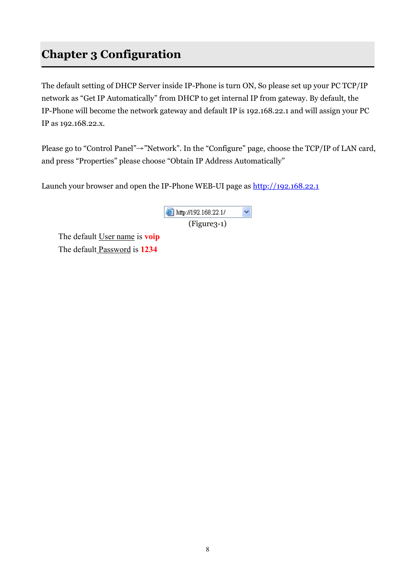# **Chapter 3 Configuration**

The default setting of DHCP Server inside IP-Phone is turn ON, So please set up your PC TCP/IP network as "Get IP Automatically" from DHCP to get internal IP from gateway. By default, the IP-Phone will become the network gateway and default IP is 192.168.22.1 and will assign your PC IP as 192.168.22.x.

Please go to "Control Panel" $\rightarrow$ "Network". In the "Configure" page, choose the TCP/IP of LAN card, and press "Properties" please choose "Obtain IP Address Automatically"

Launch your browser and open the IP-Phone WEB-UI page as http://192.168.22.1

| ttp://192.168.22.1/ |  |
|---------------------|--|
| $(Figure3-1)$       |  |

The default User name is **voip** The default Password is **1234**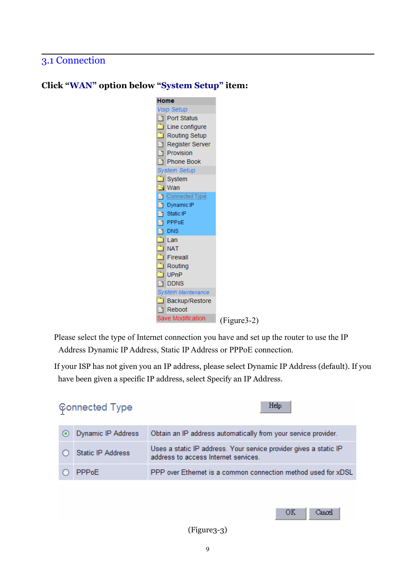## 3.1 Connection



### **Click "WAN" option below "System Setup" item:**

Please select the type of Internet connection you have and set up the router to use the IP Address Dynamic IP Address, Static IP Address or PPPoE connection.

If your ISP has not given you an IP address, please select Dynamic IP Address (default). If you have been given a specific IP address, select Specify an IP Address.



(Figure3-3)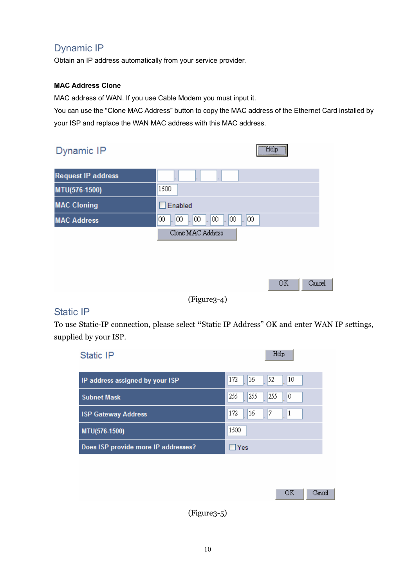## Dynamic IP

Obtain an IP address automatically from your service provider.

#### **MAC Address Clone**

MAC address of WAN. If you use Cable Modem you must input it.

You can use the "Clone MAC Address" button to copy the MAC address of the Ethernet Card installed by your ISP and replace the WAN MAC address with this MAC address.

| Dynamic IP                | Help <sup>11</sup><br>:                         |
|---------------------------|-------------------------------------------------|
| <b>Request IP address</b> |                                                 |
| MTU(576-1500)             | 1500                                            |
| <b>MAC Cloning</b>        | Enabled                                         |
| <b>MAC Address</b>        | 00<br>$\infty$<br>$\infty$<br> ∞<br>100<br>100  |
|                           | Clone MAC Address                               |
|                           |                                                 |
|                           |                                                 |
|                           | OK<br>Cancel                                    |
|                           | $(\mathbf{m}^{\prime})$ , $\mathbf{m}^{\prime}$ |

#### (Figure3-4)

### Static IP

To use Static-IP connection, please select **"**Static IP Address" OK and enter WAN IP settings, supplied by your ISP.

| Static IP                           | Help                           |
|-------------------------------------|--------------------------------|
| IP address assigned by your ISP     | 172<br>16<br>52<br>10          |
| <b>Subnet Mask</b>                  | 255<br>255<br>255<br>0         |
| <b>ISP Gateway Address</b>          | 172<br>16<br>7<br>$\mathbf{1}$ |
| MTU(576-1500)                       | 1500                           |
| Does ISP provide more IP addresses? | $\Box$ Yes                     |
|                                     |                                |
|                                     |                                |
|                                     | <b>OK</b><br>Cancel            |

(Figure3-5)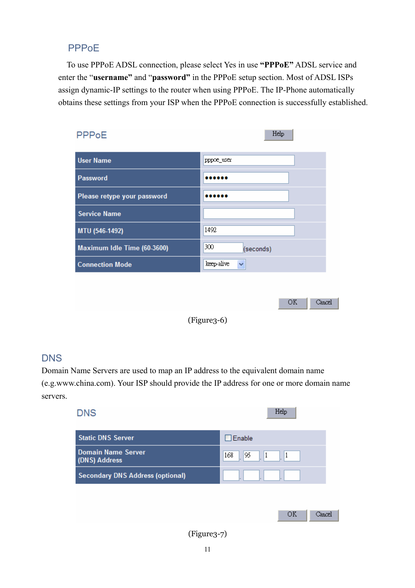## PPPoE

To use PPPoE ADSL connection, please select Yes in use **"PPPoE"** ADSL service and enter the "**username"** and "**password"** in the PPPoE setup section. Most of ADSL ISPs assign dynamic-IP settings to the router when using PPPoE. The IP-Phone automatically obtains these settings from your ISP when the PPPoE connection is successfully established.

| PPPoE                       | Help                |
|-----------------------------|---------------------|
| <b>User Name</b>            | pppoe_user          |
| <b>Password</b>             |                     |
| Please retype your password |                     |
| <b>Service Name</b>         |                     |
| MTU (546-1492)              | 1492                |
| Maximum Idle Time (60-3600) | 300<br>(seconds)    |
| <b>Connection Mode</b>      | keep-alive<br>×     |
|                             |                     |
|                             | <b>OK</b><br>Cancel |

(Figure3-6)

## **DNS**

Domain Name Servers are used to map an IP address to the equivalent domain name (e.g.www.china.com). Your ISP should provide the IP address for one or more domain name servers.

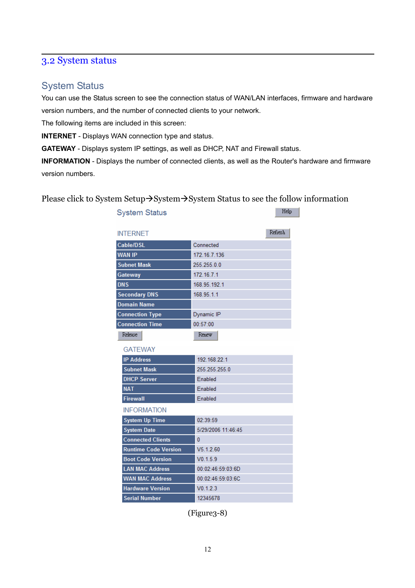## 3.2 System status

### System Status

You can use the Status screen to see the connection status of WAN/LAN interfaces, firmware and hardware version numbers, and the number of connected clients to your network.

The following items are included in this screen:

**INTERNET** - Displays WAN connection type and status.

**GATEWAY** - Displays system IP settings, as well as DHCP, NAT and Firewall status.

**INFORMATION** - Displays the number of connected clients, as well as the Router's hardware and firmware version numbers.

Please click to System Setup $\rightarrow$ System $\rightarrow$ System Status to see the follow information

| <b>System Status</b>        | Help               |
|-----------------------------|--------------------|
| <b>INTERNET</b>             | Refresh            |
| Cable/DSL                   | Connected          |
| <b>WAN IP</b>               | 172.16.7.136       |
| <b>Subnet Mask</b>          | 255.255.0.0        |
| Gateway                     | 172.16.7.1         |
| <b>DNS</b>                  | 168.95.192.1       |
| <b>Secondary DNS</b>        | 168.95.1.1         |
| <b>Domain Name</b>          |                    |
| <b>Connection Type</b>      | Dynamic IP         |
| <b>Connection Time</b>      | 00:57:00           |
| Release                     | Renew              |
| <b>GATEWAY</b>              |                    |
| <b>IP Address</b>           | 192.168.22.1       |
| <b>Subnet Mask</b>          | 255.255.255.0      |
| <b>DHCP Server</b>          | Enabled            |
| <b>NAT</b>                  | Enabled            |
| <b>Firewall</b>             | Enabled            |
| <b>INFORMATION</b>          |                    |
| <b>System Up Time</b>       | 02:39:59           |
| <b>System Date</b>          | 5/29/2006 11:46:45 |
| <b>Connected Clients</b>    | 0                  |
| <b>Runtime Code Version</b> | V5.1.2.60          |
| <b>Boot Code Version</b>    | V0.1.5.9           |
| <b>LAN MAC Address</b>      | 00:02:46:59:03:6D  |
| <b>WAN MAC Address</b>      | 00:02:46:59:03:6C  |
| <b>Hardware Version</b>     | V0.1.2.3           |
| <b>Serial Number</b>        | 12345678           |

(Figure3-8)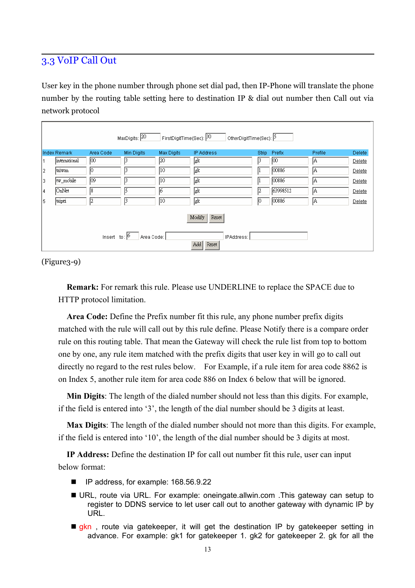## 3.3 VoIP Call Out

User key in the phone number through phone set dial pad, then IP-Phone will translate the phone number by the routing table setting here to destination IP & dial out number then Call out via network protocol

|     | FirstDigitTime(Sec): 30<br>MaxDigits: $20$<br>OtherDigitTime(Sec):  5              |           |            |            |            |              |                |         |               |
|-----|------------------------------------------------------------------------------------|-----------|------------|------------|------------|--------------|----------------|---------|---------------|
|     | <b>Index Remark</b>                                                                | Area Code | Min Digits | Max Digits | IP Address | <b>Strip</b> | Prefix         | Profile | <b>Delete</b> |
|     | <i>international</i>                                                               | ю         | l٩         | 120        | lek        |              | 100            | IA.     | Delete        |
| 2   | taiwan                                                                             | Ю         | 13         | I10        | gk         |              | 00886          | IA.     | Delete        |
| 3   | tw_mobile                                                                          | 109       | 13         | l10        | gk         |              | 00886          | IA.     | Delete        |
| 4   | OnNet                                                                              | 18        | lξ         | 16         | gk         | 12           | 63998512       | IA.     | Delete        |
| 15. | taipei                                                                             | 12        | 13         | 110        | gk         | 10           | $\sqrt{00886}$ | IA.     | Delete        |
|     | Modify<br>Reset<br>Insert to: $\boxed{6}$ Area Code:<br>IPAddress:<br>Add<br>Reset |           |            |            |            |              |                |         |               |

(Figure3-9)

**Remark:** For remark this rule. Please use UNDERLINE to replace the SPACE due to HTTP protocol limitation.

**Area Code:** Define the Prefix number fit this rule, any phone number prefix digits matched with the rule will call out by this rule define. Please Notify there is a compare order rule on this routing table. That mean the Gateway will check the rule list from top to bottom one by one, any rule item matched with the prefix digits that user key in will go to call out directly no regard to the rest rules below. For Example, if a rule item for area code 8862 is on Index 5, another rule item for area code 886 on Index 6 below that will be ignored.

**Min Digits**: The length of the dialed number should not less than this digits. For example, if the field is entered into '3', the length of the dial number should be 3 digits at least.

**Max Digits**: The length of the dialed number should not more than this digits. For example, if the field is entered into '10', the length of the dial number should be 3 digits at most.

**IP Address:** Define the destination IP for call out number fit this rule, user can input below format:

- IP address, for example: 168.56.9.22
- URL, route via URL. For example: oneingate.allwin.com .This gateway can setup to register to DDNS service to let user call out to another gateway with dynamic IP by URL.
- $\blacksquare$  gkn, route via gatekeeper, it will get the destination IP by gatekeeper setting in advance. For example: gk1 for gatekeeper 1. gk2 for gatekeeper 2. gk for all the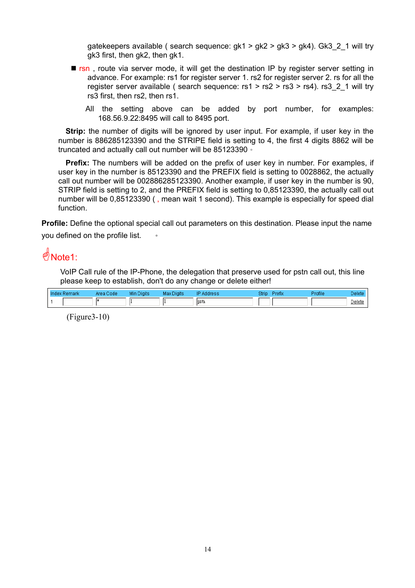gatekeepers available ( search sequence:  $gk1 > gk2 > gk3 > gk4$ ). Gk3 2 1 will try gk3 first, then gk2, then gk1.

- **F** rsn, route via server mode, it will get the destination IP by register server setting in advance. For example: rs1 for register server 1. rs2 for register server 2. rs for all the register server available ( search sequence: rs1 > rs2 > rs3 > rs4). rs3\_2\_1 will try rs3 first, then rs2, then rs1.
	- All the setting above can be added by port number, for examples: 168.56.9.22:8495 will call to 8495 port.

**Strip:** the number of digits will be ignored by user input. For example, if user key in the number is 886285123390 and the STRIPE field is setting to 4, the first 4 digits 8862 will be truncated and actually call out number will be 85123390。

**Prefix:** The numbers will be added on the prefix of user key in number. For examples, if user key in the number is 85123390 and the PREFIX field is setting to 0028862, the actually call out number will be 002886285123390. Another example, if user key in the number is 90, STRIP field is setting to 2, and the PREFIX field is setting to 0,85123390, the actually call out number will be 0,85123390 ( , mean wait 1 second). This example is especially for speed dial function.

**Profile:** Define the optional special call out parameters on this destination. Please input the name you defined on the profile list. 。

# $\frac{d}{dx}$ Note1:

VoIP Call rule of the IP-Phone, the delegation that preserve used for pstn call out, this line please keep to establish, don't do any change or delete either!

| Index Remark | Area Code | Min Digits | <b>Max Digits</b> | Address | Strip<br>Prefix | Profile | Delete        |
|--------------|-----------|------------|-------------------|---------|-----------------|---------|---------------|
|              |           |            |                   | lnstn   |                 |         | <b>Delete</b> |

(Figure3-10)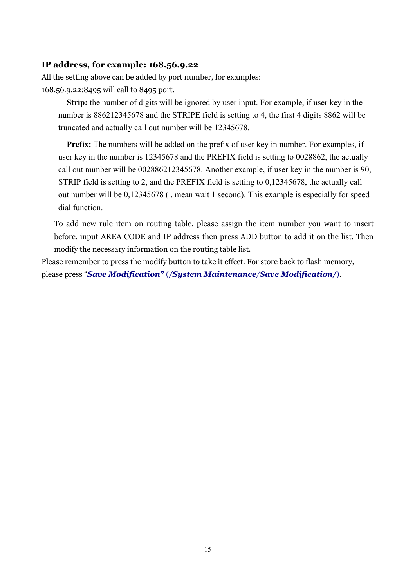#### **IP address, for example: 168.56.9.22**

All the setting above can be added by port number, for examples: 168.56.9.22:8495 will call to 8495 port.

**Strip:** the number of digits will be ignored by user input. For example, if user key in the number is 886212345678 and the STRIPE field is setting to 4, the first 4 digits 8862 will be truncated and actually call out number will be 12345678.

**Prefix:** The numbers will be added on the prefix of user key in number. For examples, if user key in the number is 12345678 and the PREFIX field is setting to 0028862, the actually call out number will be 002886212345678. Another example, if user key in the number is 90, STRIP field is setting to 2, and the PREFIX field is setting to 0,12345678, the actually call out number will be 0,12345678 ( , mean wait 1 second). This example is especially for speed dial function.

To add new rule item on routing table, please assign the item number you want to insert before, input AREA CODE and IP address then press ADD button to add it on the list. Then modify the necessary information on the routing table list.

Please remember to press the modify button to take it effect. For store back to flash memory, please press "*Save Modification***"** (*/System Maintenance/Save Modification/*).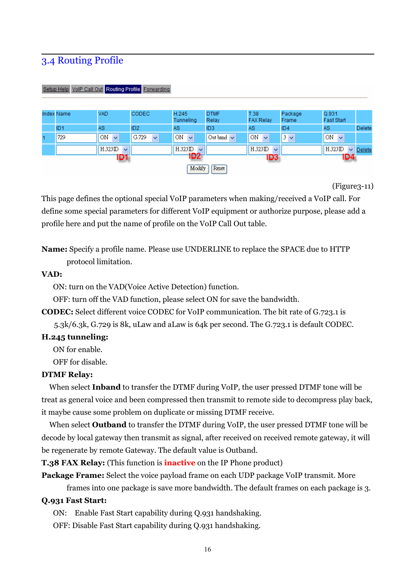## 3.4 Routing Profile

| Setup Help VolP Call Out Routing Profile Forwarding |                   |                        |                       |                                    |                      |                                       |                  |                            |               |
|-----------------------------------------------------|-------------------|------------------------|-----------------------|------------------------------------|----------------------|---------------------------------------|------------------|----------------------------|---------------|
|                                                     | <b>Index Name</b> | <b>VAD</b>             | <b>CODEC</b>          | H.245<br>Tunneling                 | <b>DTMF</b><br>Relay | T.38<br><b>FAX Relay</b>              | Package<br>Frame | Q.931<br><b>Fast Start</b> |               |
|                                                     | ID <sub>1</sub>   | <b>AS</b>              | ID <sub>2</sub>       | <b>AS</b>                          | ID <sub>3</sub>      | AS.                                   | ID4              | AS.                        | <b>Delete</b> |
|                                                     | 729               | ON.<br>$\checkmark$    | G.729<br>$\checkmark$ | ON<br>$\overline{\mathbf{v}}$      | Out band $\vee$      | ON<br>$\overline{\mathbf{v}}$         | $3\vee$          | ON.<br>$\checkmark$        |               |
|                                                     |                   | H.323ID<br>$\ddotmark$ |                       | H.323ID<br>$\overline{\mathbf{v}}$ |                      | $H.323$ ID<br>$\overline{\mathbf{v}}$ |                  | H.323ID                    | $\vee$ Delete |
| ID2<br><b>ID4</b><br>ID3<br>ID1                     |                   |                        |                       |                                    |                      |                                       |                  |                            |               |
| Modify<br>Reset                                     |                   |                        |                       |                                    |                      |                                       |                  |                            |               |

(Figure3-11)

This page defines the optional special VoIP parameters when making/received a VoIP call. For define some special parameters for different VoIP equipment or authorize purpose, please add a profile here and put the name of profile on the VoIP Call Out table.

**Name:** Specify a profile name. Please use UNDERLINE to replace the SPACE due to HTTP protocol limitation.

#### **VAD:**

ON: turn on the VAD(Voice Active Detection) function.

OFF: turn off the VAD function, please select ON for save the bandwidth.

**CODEC:** Select different voice CODEC for VoIP communication. The bit rate of G.723.1 is

5.3k/6.3k, G.729 is 8k, uLaw and aLaw is 64k per second. The G.723.1 is default CODEC.

#### **H.245 tunneling:**

ON for enable.

OFF for disable.

#### **DTMF Relay:**

When select **Inband** to transfer the DTMF during VoIP, the user pressed DTMF tone will be treat as general voice and been compressed then transmit to remote side to decompress play back, it maybe cause some problem on duplicate or missing DTMF receive.

When select **Outband** to transfer the DTMF during VoIP, the user pressed DTMF tone will be decode by local gateway then transmit as signal, after received on received remote gateway, it will be regenerate by remote Gateway. The default value is Outband.

**T.38 FAX Relay:** (This function is **inactive** on the IP Phone product)

**Package Frame:** Select the voice payload frame on each UDP package VoIP transmit. More

frames into one package is save more bandwidth. The default frames on each package is 3.

#### **Q.931 Fast Start:**

ON: Enable Fast Start capability during Q.931 handshaking.

OFF: Disable Fast Start capability during Q.931 handshaking.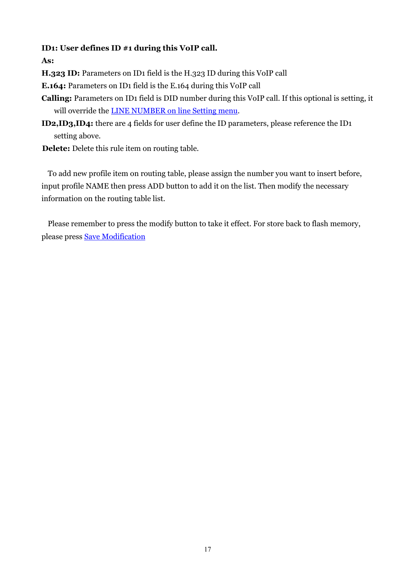### **ID1: User defines ID #1 during this VoIP call.**

**As:** 

**H.323 ID:** Parameters on ID1 field is the H.323 ID during this VoIP call

**E.164:** Parameters on ID1 field is the E.164 during this VoIP call

- **Calling:** Parameters on ID1 field is DID number during this VoIP call. If this optional is setting, it will override the **LINE NUMBER** on line Setting menu.
- **ID2,ID3,ID4:** there are 4 fields for user define the ID parameters, please reference the ID1 setting above.

**Delete:** Delete this rule item on routing table.

To add new profile item on routing table, please assign the number you want to insert before, input profile NAME then press ADD button to add it on the list. Then modify the necessary information on the routing table list.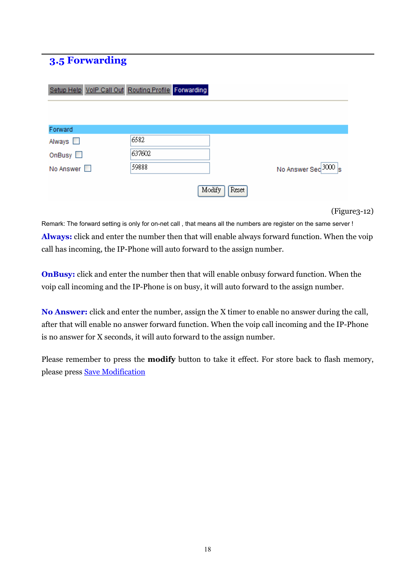## **3.5 Forwarding**

|                     | Setup Help VolP Call Out Routing Profile Forwarding |                 |                      |
|---------------------|-----------------------------------------------------|-----------------|----------------------|
|                     |                                                     |                 |                      |
| Forward             |                                                     |                 |                      |
| Always <b>N</b>     | 6582                                                |                 |                      |
| OnBusy $\Box$       | 637602                                              |                 |                      |
| No Answer $\square$ | 59888                                               |                 | No Answer Sec 3000 s |
|                     |                                                     | Modify<br>Reset |                      |

(Figure3-12)

Remark: The forward setting is only for on-net call , that means all the numbers are register on the same server ! **Always:** click and enter the number then that will enable always forward function. When the voip call has incoming, the IP-Phone will auto forward to the assign number.

**OnBusy:** click and enter the number then that will enable onbusy forward function. When the voip call incoming and the IP-Phone is on busy, it will auto forward to the assign number.

**No Answer:** click and enter the number, assign the X timer to enable no answer during the call, after that will enable no answer forward function. When the voip call incoming and the IP-Phone is no answer for X seconds, it will auto forward to the assign number.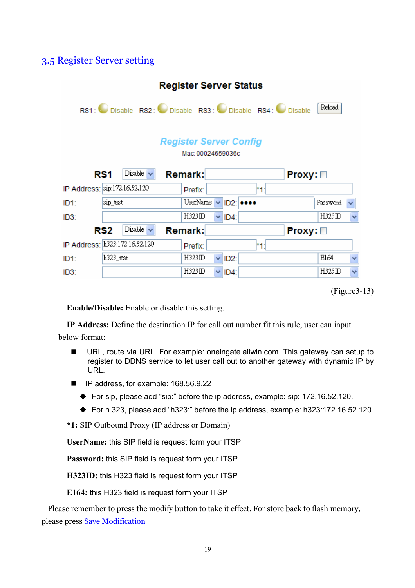## 3.5 Register Server setting

| <b>Register Server Status</b>                                 |           |                |                |                                               |      |               |          |              |
|---------------------------------------------------------------|-----------|----------------|----------------|-----------------------------------------------|------|---------------|----------|--------------|
| Reload<br>RS1: Disable RS2: Disable RS3: Disable RS4: Disable |           |                |                |                                               |      |               |          |              |
| <b>Register Server Config</b><br>Mac: 00024659036c            |           |                |                |                                               |      |               |          |              |
| Disable $\sim$<br><b>Remark:</b><br>RS1<br><b>Proxy:</b>      |           |                |                |                                               |      |               |          |              |
| IP Address:  sip:172.16.52.120                                |           |                | Prefix:        |                                               | *1:  |               |          |              |
| ID <sub>1</sub> :                                             | sip_test  |                | UserName       | $\vee$ ID2: $\bullet \bullet \bullet \bullet$ |      |               | Password |              |
| ID <sub>3</sub> :                                             |           |                | H323ID         | $\times$ ID4:                                 |      |               | H323ID   | $\checkmark$ |
|                                                               | RS2       | Disable $\sim$ | <b>Remark:</b> |                                               |      | $Proxy: \Box$ |          |              |
| IP Address: h323:172.16.52.120                                |           |                | Prefix:        |                                               | $*1$ |               |          |              |
| ID <sub>1</sub> :                                             | h323_test |                | H323ID         | $\times$ ID2:                                 |      |               | E164     | ×            |
| ID <sub>3</sub> :                                             |           |                | H323ID         | $\vee$ ID4:                                   |      |               | H323ID   | $\checkmark$ |

**Enable/Disable:** Enable or disable this setting.

**IP Address:** Define the destination IP for call out number fit this rule, user can input below format:

- URL, route via URL. For example: oneingate.allwin.com . This gateway can setup to register to DDNS service to let user call out to another gateway with dynamic IP by URL.
- IP address, for example: 168.56.9.22
	- ◆ For sip, please add "sip:" before the ip address, example: sip: 172.16.52.120.
	- For h.323, please add "h323:" before the ip address, example: h323:172.16.52.120.

**\*1:** SIP Outbound Proxy (IP address or Domain)

**UserName:** this SIP field is request form your ITSP

**Password:** this SIP field is request form your ITSP

**H323ID:** this H323 field is request form your ITSP

**E164:** this H323 field is request form your ITSP

<sup>(</sup>Figure3-13)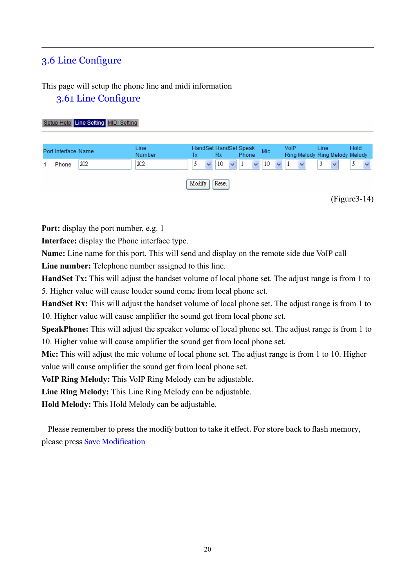## 3.6 Line Configure

## This page will setup the phone line and midi information

### 3.61 Line Configure

| Setup Help Line Setting MIDI Setting |                       |                                                                                                                                                 |                                                                                               |
|--------------------------------------|-----------------------|-------------------------------------------------------------------------------------------------------------------------------------------------|-----------------------------------------------------------------------------------------------|
| Port Interface Name<br>202<br>Phone  | Line<br>Number<br>202 | HandSet HandSet Speak<br><b>Mic</b><br><b>Rx</b><br>Phone<br>Тx<br>10<br>10<br>5<br>$\checkmark$<br>$\ddotmark$<br>$\checkmark$<br>$\checkmark$ | Hold<br><b>VolP</b><br>Line<br>Ring Melody Ring Melody Melody<br>5.<br>3<br>$\checkmark$<br>v |
|                                      |                       | Modify<br>Reset                                                                                                                                 | $(Figure3-14)$                                                                                |

**Port:** display the port number, e.g. 1

**Interface:** display the Phone interface type.

**Name:** Line name for this port. This will send and display on the remote side due VoIP call

**Line number:** Telephone number assigned to this line.

**HandSet Tx:** This will adjust the handset volume of local phone set. The adjust range is from 1 to 5. Higher value will cause louder sound come from local phone set.

**HandSet Rx:** This will adjust the handset volume of local phone set. The adjust range is from 1 to 10. Higher value will cause amplifier the sound get from local phone set.

**SpeakPhone:** This will adjust the speaker volume of local phone set. The adjust range is from 1 to 10. Higher value will cause amplifier the sound get from local phone set.

**Mic:** This will adjust the mic volume of local phone set. The adjust range is from 1 to 10. Higher value will cause amplifier the sound get from local phone set.

**VoIP Ring Melody:** This VoIP Ring Melody can be adjustable.

**Line Ring Melody:** This Line Ring Melody can be adjustable.

**Hold Melody:** This Hold Melody can be adjustable.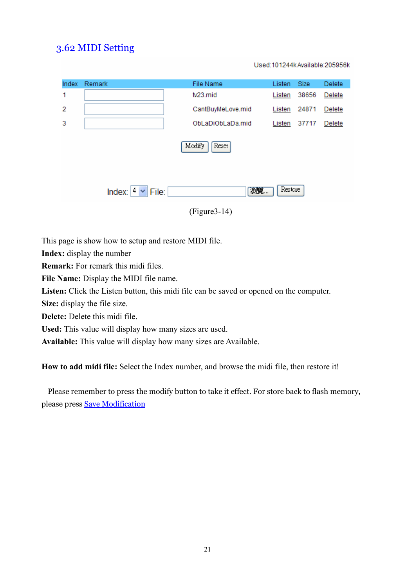## 3.62 MIDI Setting

Used:101244k Available:205956k

| Index           | Remark                                       | File Name         | Listen | <b>Size</b> | Delete |  |  |
|-----------------|----------------------------------------------|-------------------|--------|-------------|--------|--|--|
| 1               |                                              | tv23.mid          | Listen | 38656       | Delete |  |  |
| $\overline{2}$  |                                              | CantBuyMeLove.mid | Listen | 24871       | Delete |  |  |
| 3               |                                              | ObLaDiObLaDa.mid  | Listen | 37717       | Delete |  |  |
| Modify<br>Reset |                                              |                   |        |             |        |  |  |
|                 | Restore<br>瀏覽<br>$4 \vee$<br>File:<br>Index: |                   |        |             |        |  |  |
| $(Figure3-14)$  |                                              |                   |        |             |        |  |  |

This page is show how to setup and restore MIDI file.

**Index:** display the number

**Remark:** For remark this midi files.

**File Name:** Display the MIDI file name.

**Listen:** Click the Listen button, this midi file can be saved or opened on the computer.

**Size:** display the file size.

**Delete:** Delete this midi file.

**Used:** This value will display how many sizes are used.

**Available:** This value will display how many sizes are Available.

**How to add midi file:** Select the Index number, and browse the midi file, then restore it!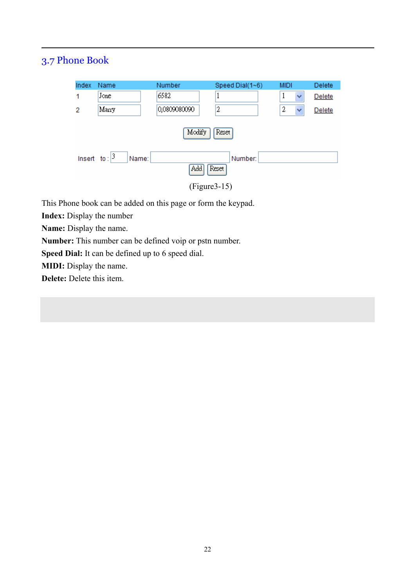# 3.7 Phone Book

| Index           | Name                      | Number       | Speed Dial(1~6) | <b>MIDI</b> | Delete |  |  |
|-----------------|---------------------------|--------------|-----------------|-------------|--------|--|--|
| 1               | Jone                      | 6582         | 1               |             | Delete |  |  |
| 2               | Marry                     | 0,0809080090 | 2               | 2<br>v      | Delete |  |  |
| Modify<br>Reset |                           |              |                 |             |        |  |  |
|                 | Insert to: $ 3 $<br>Name: |              | Number:         |             |        |  |  |
| Add<br>Reset /  |                           |              |                 |             |        |  |  |
| $(Figure3-15)$  |                           |              |                 |             |        |  |  |

This Phone book can be added on this page or form the keypad.

**Index:** Display the number

**Name:** Display the name.

**Number:** This number can be defined voip or pstn number.

**Speed Dial:** It can be defined up to 6 speed dial.

**MIDI:** Display the name.

**Delete:** Delete this item.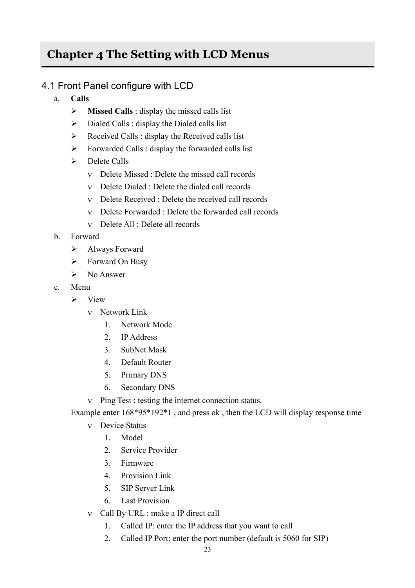# **Chapter 4 The Setting with LCD Menus**

## 4.1 Front Panel configure with LCD

- a. **Calls** 
	- ¾ **Missed Calls** : display the missed calls list
	- $\triangleright$  Dialed Calls : display the Dialed calls list
	- $\triangleright$  Received Calls : display the Received calls list
	- $\triangleright$  Forwarded Calls : display the forwarded calls list
	- $\triangleright$  Delete Calls
		- ν Delete Missed : Delete the missed call records
		- ν Delete Dialed : Delete the dialed call records
		- ν Delete Received : Delete the received call records
		- ν Delete Forwarded : Delete the forwarded call records
		- ν Delete All : Delete all records
- b. Forward
	- $\blacktriangleright$  Always Forward
	- $\triangleright$  Forward On Busy
	- $\triangleright$  No Answer
- c. Menu
	- $\triangleright$  View
		- ν Network Link
			- 1. Network Mode
			- 2. IP Address
			- 3. SubNet Mask
			- 4. Default Router
			- 5. Primary DNS
			- 6. Secondary DNS
		- ν Ping Test : testing the internet connection status.

Example enter 168\*95\*192\*1 , and press ok , then the LCD will display response time

- ν Device Status
	- 1. Model
	- 2. Service Provider
	- 3. Firmware
	- 4. Provision Link
	- 5. SIP Server Link
	- 6. Last Provision
- ν Call By URL : make a IP direct call
	- 1. Called IP: enter the IP address that you want to call
	- 2. Called IP Port: enter the port number (default is 5060 for SIP)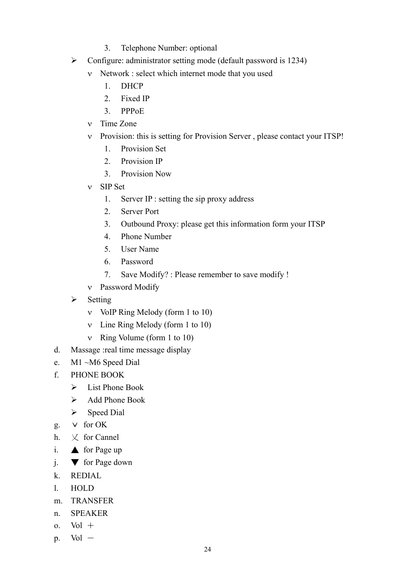- 3. Telephone Number: optional
- $\triangleright$  Configure: administrator setting mode (default password is 1234)
	- ν Network : select which internet mode that you used
		- 1. DHCP
		- 2. Fixed IP
		- 3. PPPoE
	- ν Time Zone
	- ν Provision: this is setting for Provision Server , please contact your ITSP!
		- 1. Provision Set
		- 2. Provision IP
		- 3. Provision Now
	- ν SIP Set
		- 1. Server IP : setting the sip proxy address
		- 2. Server Port
		- 3. Outbound Proxy: please get this information form your ITSP
		- 4. Phone Number
		- 5. User Name
		- 6. Password
		- 7. Save Modify? : Please remember to save modify !
	- ν Password Modify
- $\triangleright$  Setting
	- ν VoIP Ring Melody (form 1 to 10)
	- ν Line Ring Melody (form 1 to 10)
	- ν Ring Volume (form 1 to 10)
- d. Massage :real time message display
- e. M1 ~M6 Speed Dial
- f. PHONE BOOK
	- $\triangleright$  List Phone Book
	- $\triangleright$  Add Phone Book
	- $\triangleright$  Speed Dial
- g.  $\vee$  for OK
- h.  $\vee$  for Cannel
- i.  $\triangle$  for Page up
- j. ▼ for Page down
- k. REDIAL
- l. HOLD
- m. TRANSFER
- n. SPEAKER
- $o.$  Vol  $+$
- $p.$  Vol  $-$